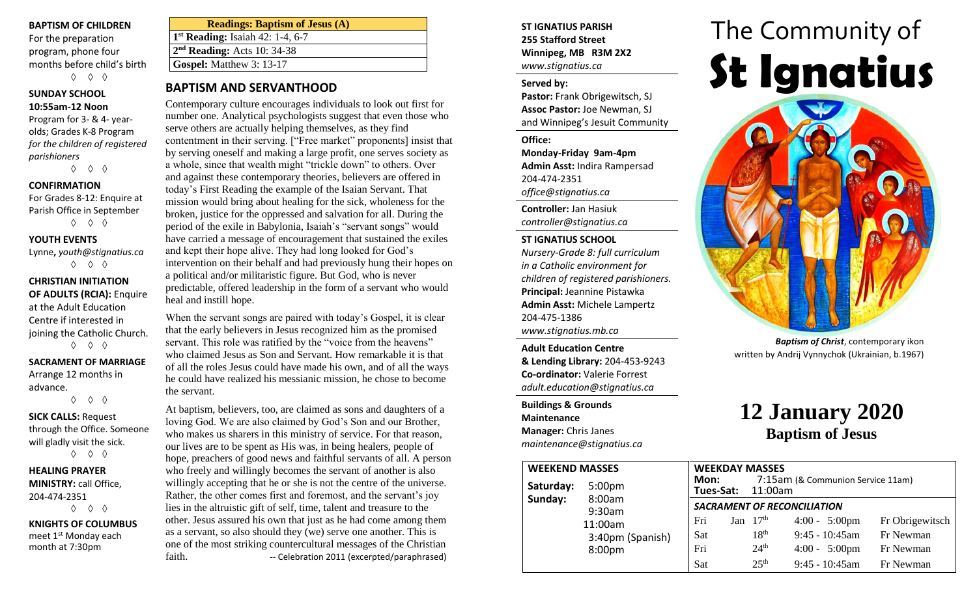#### **BAPTISM OF CHILDREN**

For the preparation program, phone four months before child's birth ◊ ◊ ◊

#### **SUNDAY SCHOOL 10:55am-12 Noon**

Program for 3- & 4- yearolds; Grades K-8 Program *for the children of registered parishioners*

◊ ◊ ◊

#### **CONFIRMATION**

For Grades 8-12: Enquire at Parish Office in September ◊ ◊ ◊

#### **YOUTH EVENTS**

Lynne**,** *youth@stignatius.ca* ◊ ◊ ◊

#### **CHRISTIAN INITIATION OF ADULTS (RCIA):** Enquire at the Adult Education Centre if interested in joining the Catholic Church. ◊ ◊ ◊

# **SACRAMENT OF MARRIAGE**

Arrange 12 months in advance. ◊ ◊ ◊

**SICK CALLS:** Request

through the Office. Someone will gladly visit the sick. ◊ ◊ ◊

#### **HEALING PRAYER MINISTRY:** call Office, 204-474-2351 ◊ ◊ ◊

**KNIGHTS OF COLUMBUS** meet 1<sup>st</sup> Monday each month at 7:30pm

| <b>Readings: Baptism of Jesus (A)</b>        |
|----------------------------------------------|
| 1 <sup>st</sup> Reading: Isaiah 42: 1-4, 6-7 |
| $2nd$ Reading: Acts 10: 34-38                |
| Gospel: Matthew 3: 13-17                     |
|                                              |

## **BAPTISM AND SERVANTHOOD**

Contemporary culture encourages individuals to look out first for number one. Analytical psychologists suggest that even those who serve others are actually helping themselves, as they find contentment in their serving. ["Free market" proponents] insist that by serving oneself and making a large profit, one serves society as a whole, since that wealth might "trickle down" to others. Over and against these contemporary theories, believers are offered in today's First Reading the example of the Isaian Servant. That mission would bring about healing for the sick, wholeness for the broken, justice for the oppressed and salvation for all. During the period of the exile in Babylonia, Isaiah's "servant songs" would have carried a message of encouragement that sustained the exiles and kept their hope alive. They had long looked for God's intervention on their behalf and had previously hung their hopes on a political and/or militaristic figure. But God, who is never predictable, offered leadership in the form of a servant who would heal and instill hope.

When the servant songs are paired with today's Gospel, it is clear that the early believers in Jesus recognized him as the promised servant. This role was ratified by the "voice from the heavens" who claimed Jesus as Son and Servant. How remarkable it is that of all the roles Jesus could have made his own, and of all the ways he could have realized his messianic mission, he chose to become the servant.

At baptism, believers, too, are claimed as sons and daughters of a loving God. We are also claimed by God's Son and our Brother, who makes us sharers in this ministry of service. For that reason, our lives are to be spent as His was, in being healers, people of hope, preachers of good news and faithful servants of all. A person who freely and willingly becomes the servant of another is also willingly accepting that he or she is not the centre of the universe. Rather, the other comes first and foremost, and the servant's joy lies in the altruistic gift of self, time, talent and treasure to the other. Jesus assured his own that just as he had come among them as a servant, so also should they (we) serve one another. This is one of the most striking countercultural messages of the Christian faith. The Celebration 2011 (excerpted/paraphrased)

#### **ST IGNATIUS PARISH 255 Stafford Street Winnipeg, MB R3M 2X2** *www.stignatius.ca*

#### **Served by:**

**Pastor:** Frank Obrigewitsch, SJ **Assoc Pastor:** Joe Newman, SJ and Winnipeg's Jesuit Community

#### **Office:**

**Monday-Friday 9am-4pm Admin Asst:** Indira Rampersad 204-474-2351 *office@stignatius.ca*

**Controller:** Jan Hasiuk *controller@stignatius.ca*

#### **ST IGNATIUS SCHOOL**

*Nursery-Grade 8: full curriculum in a Catholic environment for children of registered parishioners.* **Principal:** Jeannine Pistawka **Admin Asst:** Michele Lampertz 204-475-1386 *www.stignatius.mb.ca*

**Adult Education Centre & Lending Library:** 204-453-9243 **Co-ordinator:** Valerie Forrest *adult.education@stignatius.ca*

**Buildings & Grounds Maintenance Manager:** Chris Janes *maintenance@stignatius.ca*

# The Community of **St Ignatius**



*Baptism of Christ*, contemporary ikon written by Andrij Vynnychok (Ukrainian, b.1967)

# **12 January 2020 Baptism of Jesus**

| <b>WEEKEND MASSES</b> | <b>WEEKDAY MASSES</b>                  |                                    |  |                          |                                   |                 |
|-----------------------|----------------------------------------|------------------------------------|--|--------------------------|-----------------------------------|-----------------|
| Saturday:<br>Sunday:  | 5:00 <sub>pm</sub><br>8:00am<br>9:30am | Mon:                               |  | <b>Tues-Sat: 11:00am</b> | 7:15am (& Communion Service 11am) |                 |
|                       |                                        | <b>SACRAMENT OF RECONCILIATION</b> |  |                          |                                   |                 |
|                       | 11:00am                                | Fri                                |  | Jan $17th$               | $4:00 - 5:00 \text{pm}$           | Fr Obrigewitsch |
|                       | 3:40pm (Spanish)                       | <b>Sat</b>                         |  | 18 <sup>th</sup>         | $9:45 - 10:45$ am                 | Fr Newman       |
|                       | 8:00pm                                 | Fri                                |  | 24 <sup>th</sup>         | $4:00 - 5:00 \text{pm}$           | Fr Newman       |
|                       |                                        | Sat                                |  | 25 <sup>th</sup>         | $9:45 - 10:45$ am                 | Fr Newman       |